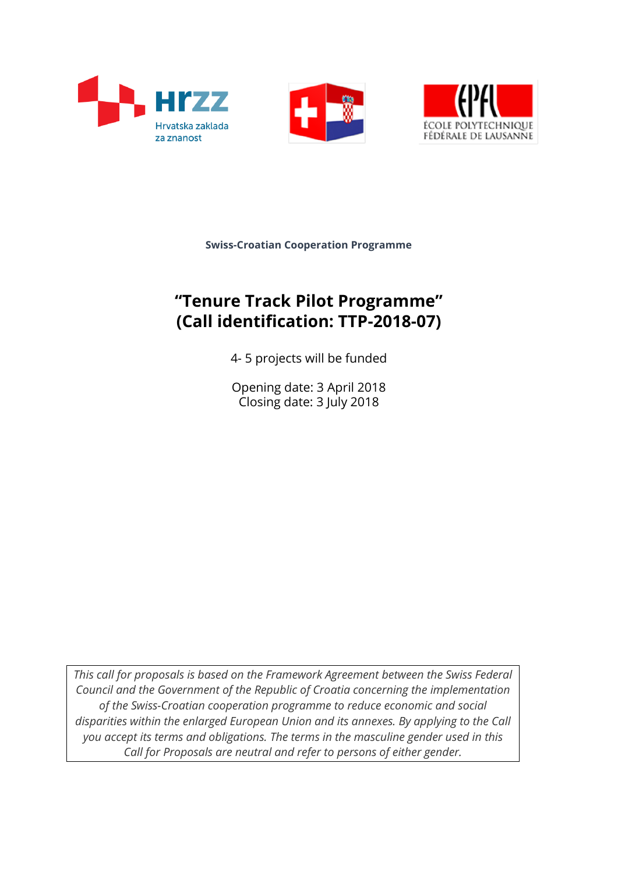





**Swiss-Croatian Cooperation Programme**

# **"Tenure Track Pilot Programme" (Call identification: TTP-2018-07)**

4- 5 projects will be funded

Opening date: 3 April 2018 Closing date: 3 July 2018

*This call for proposals is based on the Framework Agreement between the Swiss Federal Council and the Government of the Republic of Croatia concerning the implementation of the Swiss-Croatian cooperation programme to reduce economic and social disparities within the enlarged European Union and its annexes. By applying to the Call you accept its terms and obligations. The terms in the masculine gender used in this Call for Proposals are neutral and refer to persons of either gender.*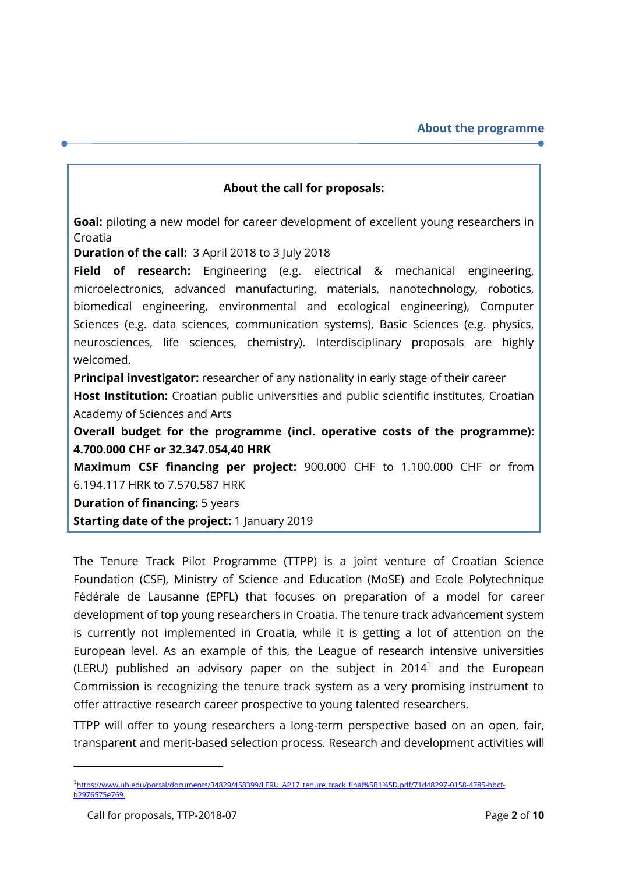#### **About the call for proposals:**

**Goal:** piloting a new model for career development of excellent young researchers in Croatia

**Duration of the call:** 3 April 2018 to 3 July 2018

**Field of research:** Engineering (e.g. electrical & mechanical engineering, microelectronics, advanced manufacturing, materials, nanotechnology, robotics, biomedical engineering, environmental and ecological engineering), Computer Sciences (e.g. data sciences, communication systems), Basic Sciences (e.g. physics, neurosciences, life sciences, chemistry). Interdisciplinary proposals are highly welcomed.

**Principal investigator:** researcher of any nationality in early stage of their career

**Host Institution:** Croatian public universities and public scientific institutes, Croatian Academy of Sciences and Arts

**Overall budget for the programme (incl. operative costs of the programme): 4.700.000 CHF or 32.347.054,40 HRK**

**Maximum CSF financing per project:** 900.000 CHF to 1.100.000 CHF or from 6.194.117 HRK to 7.570.587 HRK

**Duration of financing: 5 years** 

**Starting date of the project: 1 January 2019** 

The Tenure Track Pilot Programme (TTPP) is a joint venture of Croatian Science Foundation (CSF), Ministry of Science and Education (MoSE) and Ecole Polytechnique Fédérale de Lausanne (EPFL) that focuses on preparation of a model for career development of top young researchers in Croatia. The tenure track advancement system is currently not implemented in Croatia, while it is getting a lot of attention on the European level. As an example of this, the League of research intensive universities (LERU) published an advisory paper on the subject in 2014<sup>1</sup> and the European Commission is recognizing the tenure track system as a very promising instrument to offer attractive research career prospective to young talented researchers.

TTPP will offer to young researchers a long-term perspective based on an open, fair, transparent and merit-based selection process. Research and development activities will

<u>.</u>

<sup>1</sup> [https://www.ub.edu/portal/documents/34829/458399/LERU\\_AP17\\_tenure\\_track\\_final%5B1%5D.pdf/71d48297-0158-4785-bbcf](https://www.ub.edu/portal/documents/34829/458399/LERU_AP17_tenure_track_final%5B1%5D.pdf/71d48297-0158-4785-bbcf-b2976575e769)[b2976575e769.](https://www.ub.edu/portal/documents/34829/458399/LERU_AP17_tenure_track_final%5B1%5D.pdf/71d48297-0158-4785-bbcf-b2976575e769)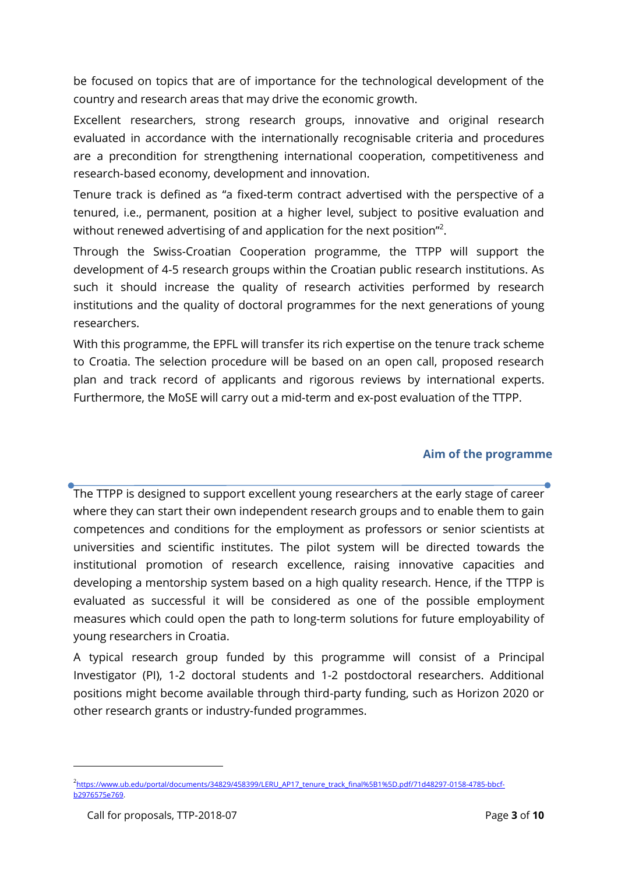be focused on topics that are of importance for the technological development of the country and research areas that may drive the economic growth.

Excellent researchers, strong research groups, innovative and original research evaluated in accordance with the internationally recognisable criteria and procedures are a precondition for strengthening international cooperation, competitiveness and research-based economy, development and innovation.

Tenure track is defined as "a fixed-term contract advertised with the perspective of a tenured, i.e., permanent, position at a higher level, subject to positive evaluation and without renewed advertising of and application for the next position"<sup>2</sup>.

Through the Swiss-Croatian Cooperation programme, the TTPP will support the development of 4-5 research groups within the Croatian public research institutions. As such it should increase the quality of research activities performed by research institutions and the quality of doctoral programmes for the next generations of young researchers.

With this programme, the EPFL will transfer its rich expertise on the tenure track scheme to Croatia. The selection procedure will be based on an open call, proposed research plan and track record of applicants and rigorous reviews by international experts. Furthermore, the MoSE will carry out a mid-term and ex-post evaluation of the TTPP.

#### **Aim of the programme**

The TTPP is designed to support excellent young researchers at the early stage of career where they can start their own independent research groups and to enable them to gain competences and conditions for the employment as professors or senior scientists at universities and scientific institutes. The pilot system will be directed towards the institutional promotion of research excellence, raising innovative capacities and developing a mentorship system based on a high quality research. Hence, if the TTPP is evaluated as successful it will be considered as one of the possible employment measures which could open the path to long-term solutions for future employability of young researchers in Croatia.

A typical research group funded by this programme will consist of a Principal Investigator (PI), 1-2 doctoral students and 1-2 postdoctoral researchers. Additional positions might become available through third-party funding, such as Horizon 2020 or other research grants or industry-funded programmes.

<u>.</u>

<sup>2</sup> [https://www.ub.edu/portal/documents/34829/458399/LERU\\_AP17\\_tenure\\_track\\_final%5B1%5D.pdf/71d48297-0158-4785-bbcf](https://www.ub.edu/portal/documents/34829/458399/LERU_AP17_tenure_track_final%5B1%5D.pdf/71d48297-0158-4785-bbcf-b2976575e769)[b2976575e769.](https://www.ub.edu/portal/documents/34829/458399/LERU_AP17_tenure_track_final%5B1%5D.pdf/71d48297-0158-4785-bbcf-b2976575e769)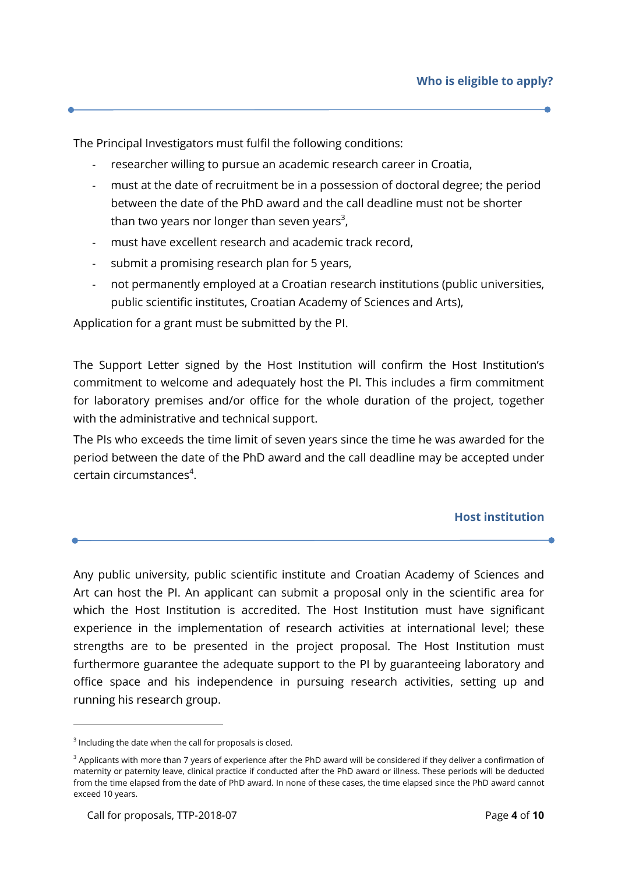The Principal Investigators must fulfil the following conditions:

- researcher willing to pursue an academic research career in Croatia,
- must at the date of recruitment be in a possession of doctoral degree; the period between the date of the PhD award and the call deadline must not be shorter than two years nor longer than seven years $^3\!$
- must have excellent research and academic track record,
- submit a promising research plan for 5 years,
- not permanently employed at a Croatian research institutions (public universities, public scientific institutes, Croatian Academy of Sciences and Arts),

Application for a grant must be submitted by the PI.

The Support Letter signed by the Host Institution will confirm the Host Institution's commitment to welcome and adequately host the PI. This includes a firm commitment for laboratory premises and/or office for the whole duration of the project, together with the administrative and technical support.

The PIs who exceeds the time limit of seven years since the time he was awarded for the period between the date of the PhD award and the call deadline may be accepted under certain circumstances<sup>4</sup>.

#### **Host institution**

Any public university, public scientific institute and Croatian Academy of Sciences and Art can host the PI. An applicant can submit a proposal only in the scientific area for which the Host Institution is accredited. The Host Institution must have significant experience in the implementation of research activities at international level; these strengths are to be presented in the project proposal. The Host Institution must furthermore guarantee the adequate support to the PI by guaranteeing laboratory and office space and his independence in pursuing research activities, setting up and running his research group.

1

 $3$  Including the date when the call for proposals is closed.

 $3$  Applicants with more than 7 years of experience after the PhD award will be considered if they deliver a confirmation of maternity or paternity leave, clinical practice if conducted after the PhD award or illness. These periods will be deducted from the time elapsed from the date of PhD award. In none of these cases, the time elapsed since the PhD award cannot exceed 10 years.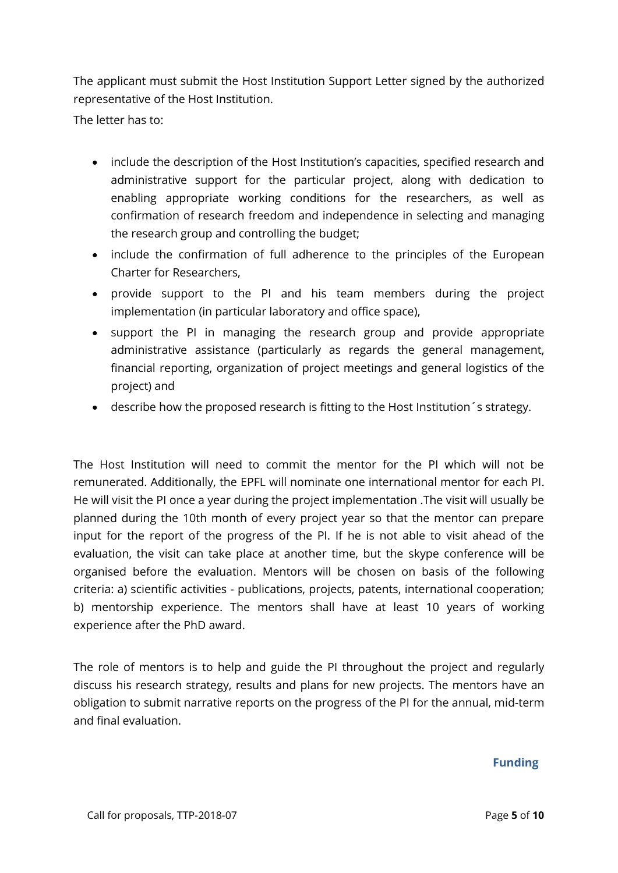The applicant must submit the Host Institution Support Letter signed by the authorized representative of the Host Institution.

The letter has to:

- include the description of the Host Institution's capacities, specified research and administrative support for the particular project, along with dedication to enabling appropriate working conditions for the researchers, as well as confirmation of research freedom and independence in selecting and managing the research group and controlling the budget;
- include the confirmation of full adherence to the principles of the European Charter for Researchers,
- provide support to the PI and his team members during the project implementation (in particular laboratory and office space),
- support the PI in managing the research group and provide appropriate administrative assistance (particularly as regards the general management, financial reporting, organization of project meetings and general logistics of the project) and
- describe how the proposed research is fitting to the Host Institution´s strategy.

The Host Institution will need to commit the mentor for the PI which will not be remunerated. Additionally, the EPFL will nominate one international mentor for each PI. He will visit the PI once a year during the project implementation .The visit will usually be planned during the 10th month of every project year so that the mentor can prepare input for the report of the progress of the PI. If he is not able to visit ahead of the evaluation, the visit can take place at another time, but the skype conference will be organised before the evaluation. Mentors will be chosen on basis of the following criteria: a) scientific activities - publications, projects, patents, international cooperation; b) mentorship experience. The mentors shall have at least 10 years of working experience after the PhD award.

The role of mentors is to help and guide the PI throughout the project and regularly discuss his research strategy, results and plans for new projects. The mentors have an obligation to submit narrative reports on the progress of the PI for the annual, mid-term and final evaluation.

#### **Funding**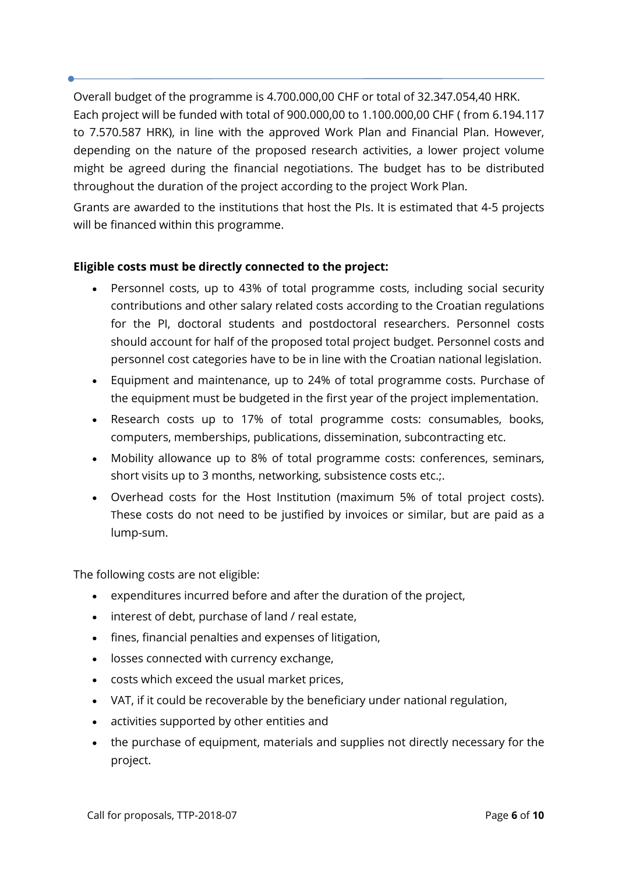Overall budget of the programme is 4.700.000,00 CHF or total of 32.347.054,40 HRK. Each project will be funded with total of 900.000,00 to 1.100.000,00 CHF ( from 6.194.117 to 7.570.587 HRK), in line with the approved Work Plan and Financial Plan. However, depending on the nature of the proposed research activities, a lower project volume might be agreed during the financial negotiations. The budget has to be distributed throughout the duration of the project according to the project Work Plan.

Grants are awarded to the institutions that host the PIs. It is estimated that 4-5 projects will be financed within this programme.

# **Eligible costs must be directly connected to the project:**

- Personnel costs, up to 43% of total programme costs, including social security contributions and other salary related costs according to the Croatian regulations for the PI, doctoral students and postdoctoral researchers. Personnel costs should account for half of the proposed total project budget. Personnel costs and personnel cost categories have to be in line with the Croatian national legislation.
- Equipment and maintenance, up to 24% of total programme costs. Purchase of the equipment must be budgeted in the first year of the project implementation.
- Research costs up to 17% of total programme costs: consumables, books, computers, memberships, publications, dissemination, subcontracting etc.
- Mobility allowance up to 8% of total programme costs: conferences, seminars, short visits up to 3 months, networking, subsistence costs etc.;.
- Overhead costs for the Host Institution (maximum 5% of total project costs). These costs do not need to be justified by invoices or similar, but are paid as a lump-sum.

The following costs are not eligible:

- expenditures incurred before and after the duration of the project,
- interest of debt, purchase of land / real estate,
- fines, financial penalties and expenses of litigation,
- losses connected with currency exchange,
- costs which exceed the usual market prices,
- VAT, if it could be recoverable by the beneficiary under national regulation,
- activities supported by other entities and
- the purchase of equipment, materials and supplies not directly necessary for the project.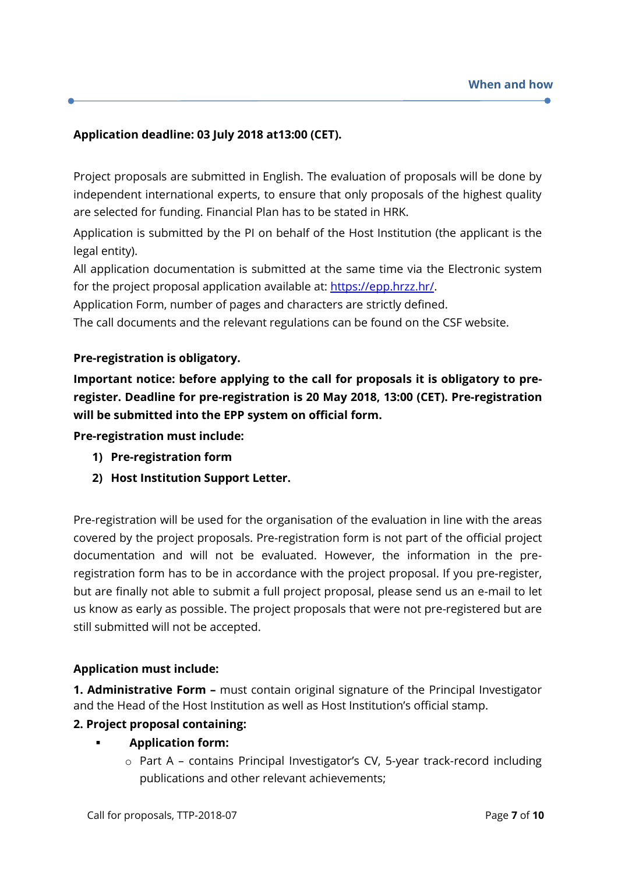# **Application deadline: 03 July 2018 at13:00 (CET).**

Project proposals are submitted in English. The evaluation of proposals will be done by independent international experts, to ensure that only proposals of the highest quality are selected for funding. Financial Plan has to be stated in HRK.

Application is submitted by the PI on behalf of the Host Institution (the applicant is the legal entity).

All application documentation is submitted at the same time via the Electronic system for the project proposal application available at: [https://epp.hrzz.hr/.](https://epp.hrzz.hr/)

Application Form, number of pages and characters are strictly defined.

The call documents and the relevant regulations can be found on the CSF website.

## **Pre-registration is obligatory.**

**Important notice: before applying to the call for proposals it is obligatory to preregister. Deadline for pre-registration is 20 May 2018, 13:00 (CET). Pre-registration will be submitted into the EPP system on official form.**

**Pre-registration must include:**

- **1) Pre-registration form**
- **2) Host Institution Support Letter.**

Pre-registration will be used for the organisation of the evaluation in line with the areas covered by the project proposals. Pre-registration form is not part of the official project documentation and will not be evaluated. However, the information in the preregistration form has to be in accordance with the project proposal. If you pre-register, but are finally not able to submit a full project proposal, please send us an e-mail to let us know as early as possible. The project proposals that were not pre-registered but are still submitted will not be accepted.

#### **Application must include:**

**1. Administrative Form –** must contain original signature of the Principal Investigator and the Head of the Host Institution as well as Host Institution's official stamp.

#### **2. Project proposal containing:**

- **Application form:**
	- o Part A contains Principal Investigator's CV, 5-year track-record including publications and other relevant achievements;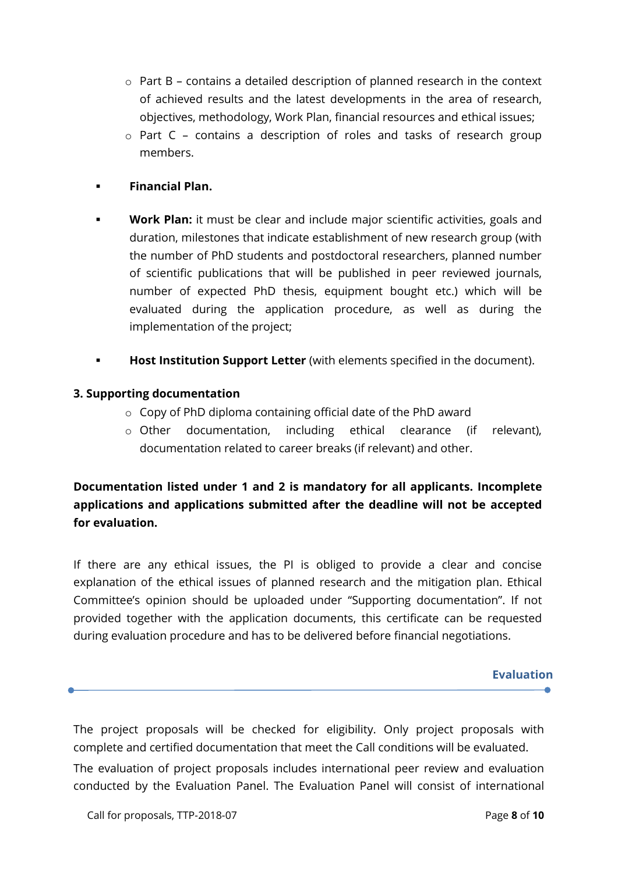- o Part B contains a detailed description of planned research in the context of achieved results and the latest developments in the area of research, objectives, methodology, Work Plan, financial resources and ethical issues;
- o Part C contains a description of roles and tasks of research group members.

# **Financial Plan.**

- **Work Plan:** it must be clear and include major scientific activities, goals and duration, milestones that indicate establishment of new research group (with the number of PhD students and postdoctoral researchers, planned number of scientific publications that will be published in peer reviewed journals, number of expected PhD thesis, equipment bought etc.) which will be evaluated during the application procedure, as well as during the implementation of the project;
- **Host Institution Support Letter** (with elements specified in the document).

## **3. Supporting documentation**

- o Copy of PhD diploma containing official date of the PhD award
- o Other documentation, including ethical clearance (if relevant), documentation related to career breaks (if relevant) and other.

**Documentation listed under 1 and 2 is mandatory for all applicants. Incomplete applications and applications submitted after the deadline will not be accepted for evaluation.**

If there are any ethical issues, the PI is obliged to provide a clear and concise explanation of the ethical issues of planned research and the mitigation plan. Ethical Committee's opinion should be uploaded under "Supporting documentation". If not provided together with the application documents, this certificate can be requested during evaluation procedure and has to be delivered before financial negotiations.

**Evaluation** 

The project proposals will be checked for eligibility. Only project proposals with complete and certified documentation that meet the Call conditions will be evaluated.

The evaluation of project proposals includes international peer review and evaluation conducted by the Evaluation Panel. The Evaluation Panel will consist of international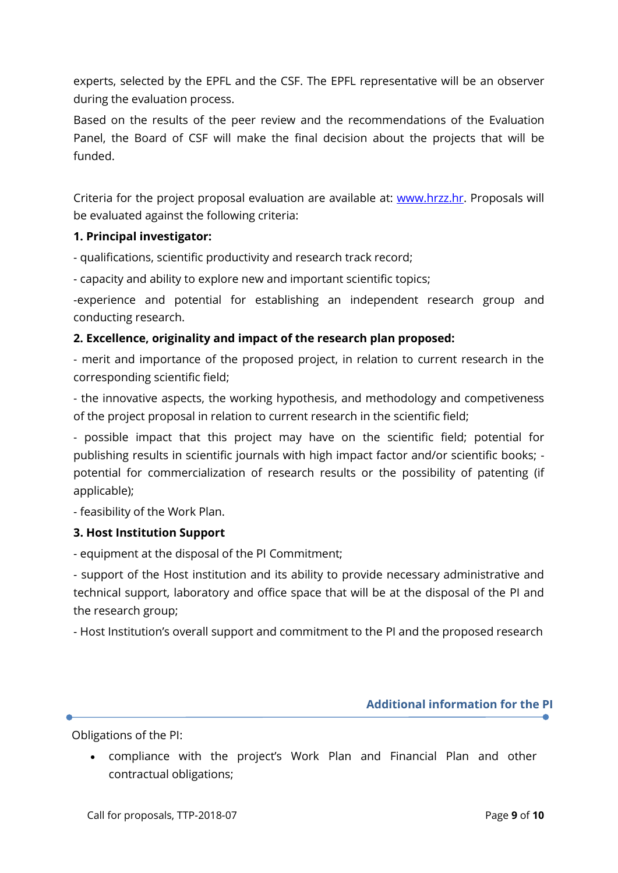experts, selected by the EPFL and the CSF. The EPFL representative will be an observer during the evaluation process.

Based on the results of the peer review and the recommendations of the Evaluation Panel, the Board of CSF will make the final decision about the projects that will be funded.

Criteria for the project proposal evaluation are available at: [www.hrzz.hr.](http://www.hrzz.hr/) Proposals will be evaluated against the following criteria:

## **1. Principal investigator:**

- qualifications, scientific productivity and research track record;

- capacity and ability to explore new and important scientific topics;

-experience and potential for establishing an independent research group and conducting research.

## **2. Excellence, originality and impact of the research plan proposed:**

- merit and importance of the proposed project, in relation to current research in the corresponding scientific field;

- the innovative aspects, the working hypothesis, and methodology and competiveness of the project proposal in relation to current research in the scientific field;

- possible impact that this project may have on the scientific field; potential for publishing results in scientific journals with high impact factor and/or scientific books; potential for commercialization of research results or the possibility of patenting (if applicable);

- feasibility of the Work Plan.

#### **3. Host Institution Support**

- equipment at the disposal of the PI Commitment;

- support of the Host institution and its ability to provide necessary administrative and technical support, laboratory and office space that will be at the disposal of the PI and the research group;

- Host Institution's overall support and commitment to the PI and the proposed research

#### **Additional information for the PI**

Obligations of the PI:

 compliance with the project's Work Plan and Financial Plan and other contractual obligations;